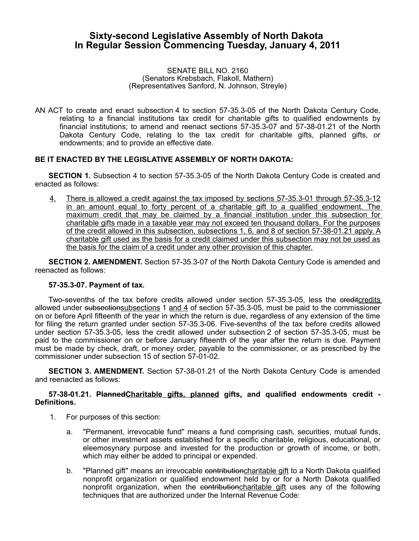# **Sixty-second Legislative Assembly of North Dakota In Regular Session Commencing Tuesday, January 4, 2011**

#### SENATE BILL NO. 2160 (Senators Krebsbach, Flakoll, Mathern) (Representatives Sanford, N. Johnson, Streyle)

AN ACT to create and enact subsection 4 to section 57-35.3-05 of the North Dakota Century Code, relating to a financial institutions tax credit for charitable gifts to qualified endowments by financial institutions; to amend and reenact sections 57-35.3-07 and 57-38-01.21 of the North Dakota Century Code, relating to the tax credit for charitable gifts, planned gifts, or endowments; and to provide an effective date.

# **BE IT ENACTED BY THE LEGISLATIVE ASSEMBLY OF NORTH DAKOTA:**

**SECTION 1.** Subsection 4 to section 57-35.3-05 of the North Dakota Century Code is created and enacted as follows:

4. There is allowed a credit against the tax imposed by sections 57-35.3-01 through 57-35.3-12 in an amount equal to forty percent of a charitable gift to a qualified endowment. The maximum credit that may be claimed by a financial institution under this subsection for charitable gifts made in a taxable year may not exceed ten thousand dollars. For the purposes of the credit allowed in this subsection, subsections 1, 6, and 8 of section 57-38-01.21 apply. A charitable gift used as the basis for a credit claimed under this subsection may not be used as the basis for the claim of a credit under any other provision of this chapter.

**SECTION 2. AMENDMENT.** Section 57-35.3-07 of the North Dakota Century Code is amended and reenacted as follows:

## **57-35.3-07. Payment of tax.**

Two-sevenths of the tax before credits allowed under section 57-35.3-05, less the ereditcredits allowed under subsectionsubsections 1 and 4 of section 57-35.3-05, must be paid to the commissioner on or before April fifteenth of the year in which the return is due, regardless of any extension of the time for filing the return granted under section 57-35.3-06. Five-sevenths of the tax before credits allowed under section 57-35.3-05, less the credit allowed under subsection 2 of section 57-35.3-05, must be paid to the commissioner on or before January fifteenth of the year after the return is due. Payment must be made by check, draft, or money order, payable to the commissioner, or as prescribed by the commissioner under subsection 15 of section 57-01-02.

**SECTION 3. AMENDMENT.** Section 57-38-01.21 of the North Dakota Century Code is amended and reenacted as follows:

## **57-38-01.21. PlannedCharitable gifts, planned gifts, and qualified endowments credit - Definitions.**

- 1. For purposes of this section:
	- a. "Permanent, irrevocable fund" means a fund comprising cash, securities, mutual funds, or other investment assets established for a specific charitable, religious, educational, or eleemosynary purpose and invested for the production or growth of income, or both, which may either be added to principal or expended.
	- b. "Planned gift" means an irrevocable contributioncharitable gift to a North Dakota qualified nonprofit organization or qualified endowment held by or for a North Dakota qualified nonprofit organization, when the contribution charitable gift uses any of the following techniques that are authorized under the Internal Revenue Code: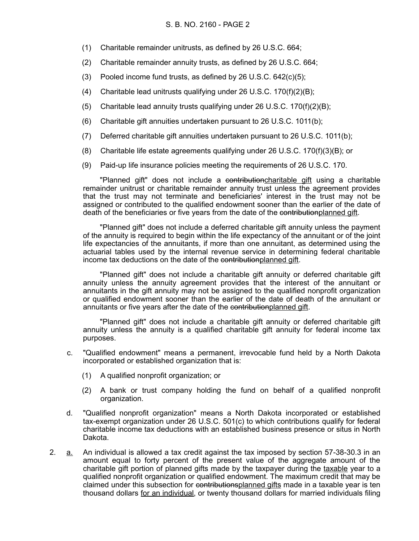- (1) Charitable remainder unitrusts, as defined by 26 U.S.C. 664;
- (2) Charitable remainder annuity trusts, as defined by 26 U.S.C. 664;
- (3) Pooled income fund trusts, as defined by 26 U.S.C. 642(c)(5);
- (4) Charitable lead unitrusts qualifying under 26 U.S.C. 170(f)(2)(B);
- (5) Charitable lead annuity trusts qualifying under 26 U.S.C.  $170(f)(2)(B)$ ;
- (6) Charitable gift annuities undertaken pursuant to 26 U.S.C. 1011(b);
- (7) Deferred charitable gift annuities undertaken pursuant to 26 U.S.C. 1011(b);
- (8) Charitable life estate agreements qualifying under 26 U.S.C. 170(f)(3)(B); or
- (9) Paid-up life insurance policies meeting the requirements of 26 U.S.C. 170.

"Planned gift" does not include a contributioncharitable gift using a charitable remainder unitrust or charitable remainder annuity trust unless the agreement provides that the trust may not terminate and beneficiaries' interest in the trust may not be assigned or contributed to the qualified endowment sooner than the earlier of the date of death of the beneficiaries or five years from the date of the contributionplanned gift.

"Planned gift" does not include a deferred charitable gift annuity unless the payment of the annuity is required to begin within the life expectancy of the annuitant or of the joint life expectancies of the annuitants, if more than one annuitant, as determined using the actuarial tables used by the internal revenue service in determining federal charitable income tax deductions on the date of the contributionplanned gift.

"Planned gift" does not include a charitable gift annuity or deferred charitable gift annuity unless the annuity agreement provides that the interest of the annuitant or annuitants in the gift annuity may not be assigned to the qualified nonprofit organization or qualified endowment sooner than the earlier of the date of death of the annuitant or annuitants or five years after the date of the contributionplanned gift.

"Planned gift" does not include a charitable gift annuity or deferred charitable gift annuity unless the annuity is a qualified charitable gift annuity for federal income tax purposes.

- c. "Qualified endowment" means a permanent, irrevocable fund held by a North Dakota incorporated or established organization that is:
	- (1) A qualified nonprofit organization; or
	- (2) A bank or trust company holding the fund on behalf of a qualified nonprofit organization.
- d. "Qualified nonprofit organization" means a North Dakota incorporated or established tax-exempt organization under 26 U.S.C. 501(c) to which contributions qualify for federal charitable income tax deductions with an established business presence or situs in North Dakota.
- 2. a. An individual is allowed a tax credit against the tax imposed by section 57-38-30.3 in an amount equal to forty percent of the present value of the aggregate amount of the charitable gift portion of planned gifts made by the taxpayer during the taxable year to a qualified nonprofit organization or qualified endowment. The maximum credit that may be claimed under this subsection for contributionsplanned gifts made in a taxable year is ten thousand dollars for an individual, or twenty thousand dollars for married individuals filing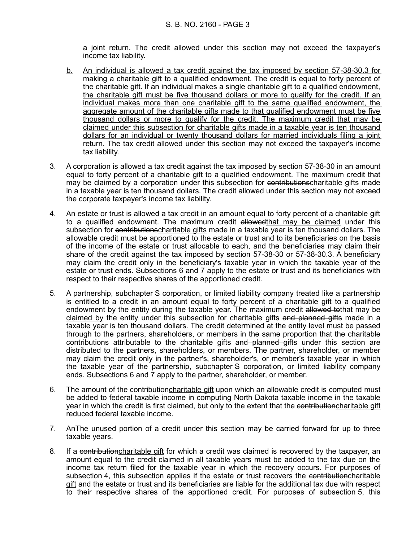a joint return. The credit allowed under this section may not exceed the taxpayer's income tax liability.

- b. An individual is allowed a tax credit against the tax imposed by section 57-38-30.3 for making a charitable gift to a qualified endowment. The credit is equal to forty percent of the charitable gift. If an individual makes a single charitable gift to a qualified endowment, the charitable gift must be five thousand dollars or more to qualify for the credit. If an individual makes more than one charitable gift to the same qualified endowment, the aggregate amount of the charitable gifts made to that qualified endowment must be five thousand dollars or more to qualify for the credit. The maximum credit that may be claimed under this subsection for charitable gifts made in a taxable year is ten thousand dollars for an individual or twenty thousand dollars for married individuals filing a joint return. The tax credit allowed under this section may not exceed the taxpayer's income tax liability.
- 3. A corporation is allowed a tax credit against the tax imposed by section 57-38-30 in an amount equal to forty percent of a charitable gift to a qualified endowment. The maximum credit that may be claimed by a corporation under this subsection for contributions charitable gifts made in a taxable year is ten thousand dollars. The credit allowed under this section may not exceed the corporate taxpayer's income tax liability.
- 4. An estate or trust is allowed a tax credit in an amount equal to forty percent of a charitable gift to a qualified endowment. The maximum credit allowedthat may be claimed under this subsection for contributionscharitable gifts made in a taxable year is ten thousand dollars. The allowable credit must be apportioned to the estate or trust and to its beneficiaries on the basis of the income of the estate or trust allocable to each, and the beneficiaries may claim their share of the credit against the tax imposed by section 57-38-30 or 57-38-30.3. A beneficiary may claim the credit only in the beneficiary's taxable year in which the taxable year of the estate or trust ends. Subsections 6 and 7 apply to the estate or trust and its beneficiaries with respect to their respective shares of the apportioned credit.
- 5. A partnership, subchapter S corporation, or limited liability company treated like a partnership is entitled to a credit in an amount equal to forty percent of a charitable gift to a qualified endowment by the entity during the taxable year. The maximum credit allowed tothat may be claimed by the entity under this subsection for charitable gifts and planned gifts made in a taxable year is ten thousand dollars. The credit determined at the entity level must be passed through to the partners, shareholders, or members in the same proportion that the charitable contributions attributable to the charitable gifts and planned gifts under this section are distributed to the partners, shareholders, or members. The partner, shareholder, or member may claim the credit only in the partner's, shareholder's, or member's taxable year in which the taxable year of the partnership, subchapter S corporation, or limited liability company ends. Subsections 6 and 7 apply to the partner, shareholder, or member.
- 6. The amount of the contribution charitable gift upon which an allowable credit is computed must be added to federal taxable income in computing North Dakota taxable income in the taxable year in which the credit is first claimed, but only to the extent that the contributioncharitable gift reduced federal taxable income.
- 7. AnThe unused portion of a credit under this section may be carried forward for up to three taxable years.
- 8. If a contribution charitable gift for which a credit was claimed is recovered by the taxpayer, an amount equal to the credit claimed in all taxable years must be added to the tax due on the income tax return filed for the taxable year in which the recovery occurs. For purposes of subsection 4, this subsection applies if the estate or trust recovers the contributioncharitable gift and the estate or trust and its beneficiaries are liable for the additional tax due with respect to their respective shares of the apportioned credit. For purposes of subsection 5, this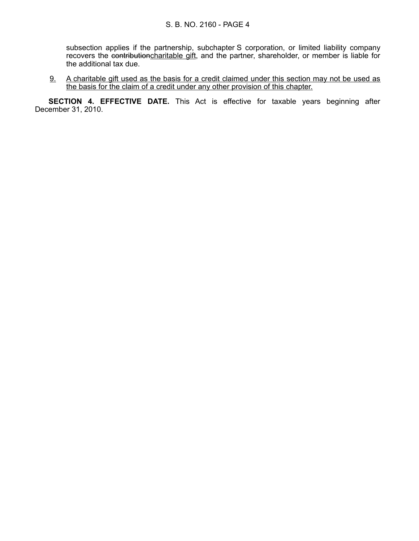subsection applies if the partnership, subchapter S corporation, or limited liability company recovers the contributioncharitable gift, and the partner, shareholder, or member is liable for the additional tax due.

9. A charitable gift used as the basis for a credit claimed under this section may not be used as the basis for the claim of a credit under any other provision of this chapter.

**SECTION 4. EFFECTIVE DATE.** This Act is effective for taxable years beginning after December 31, 2010.